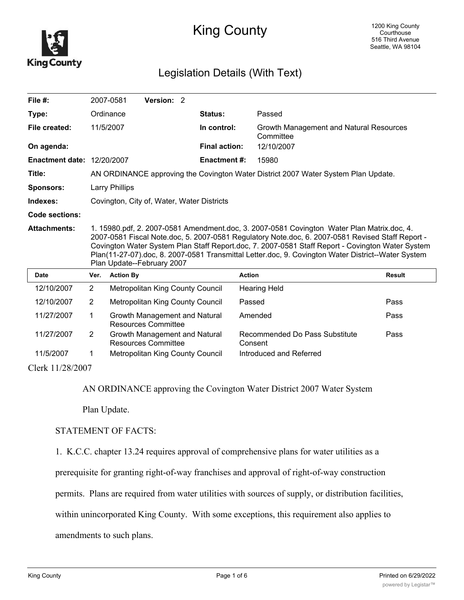

## King County

## Legislation Details (With Text)

| File #:                           |                                                                                                                                                                                                                                                                                                                                                                                                                                        | 2007-0581<br>Version: 2                                     |                      |                                                      |               |
|-----------------------------------|----------------------------------------------------------------------------------------------------------------------------------------------------------------------------------------------------------------------------------------------------------------------------------------------------------------------------------------------------------------------------------------------------------------------------------------|-------------------------------------------------------------|----------------------|------------------------------------------------------|---------------|
| Type:                             |                                                                                                                                                                                                                                                                                                                                                                                                                                        | Ordinance                                                   | Status:              | Passed                                               |               |
| File created:                     |                                                                                                                                                                                                                                                                                                                                                                                                                                        | 11/5/2007                                                   | In control:          | Growth Management and Natural Resources<br>Committee |               |
| On agenda:                        |                                                                                                                                                                                                                                                                                                                                                                                                                                        |                                                             | <b>Final action:</b> | 12/10/2007                                           |               |
| <b>Enactment date: 12/20/2007</b> |                                                                                                                                                                                                                                                                                                                                                                                                                                        |                                                             | <b>Enactment #:</b>  | 15980                                                |               |
| Title:                            | AN ORDINANCE approving the Covington Water District 2007 Water System Plan Update.                                                                                                                                                                                                                                                                                                                                                     |                                                             |                      |                                                      |               |
| <b>Sponsors:</b>                  | Larry Phillips                                                                                                                                                                                                                                                                                                                                                                                                                         |                                                             |                      |                                                      |               |
| Indexes:                          | Covington, City of, Water, Water Districts                                                                                                                                                                                                                                                                                                                                                                                             |                                                             |                      |                                                      |               |
| <b>Code sections:</b>             |                                                                                                                                                                                                                                                                                                                                                                                                                                        |                                                             |                      |                                                      |               |
| <b>Attachments:</b>               | 1. 15980.pdf, 2. 2007-0581 Amendment.doc, 3. 2007-0581 Covington Water Plan Matrix.doc, 4.<br>2007-0581 Fiscal Note.doc, 5. 2007-0581 Regulatory Note.doc, 6. 2007-0581 Revised Staff Report -<br>Covington Water System Plan Staff Report.doc, 7. 2007-0581 Staff Report - Covington Water System<br>Plan(11-27-07).doc, 8. 2007-0581 Transmittal Letter.doc, 9. Covington Water District--Water System<br>Plan Update--February 2007 |                                                             |                      |                                                      |               |
| <b>Date</b>                       | Ver.                                                                                                                                                                                                                                                                                                                                                                                                                                   | <b>Action By</b>                                            | <b>Action</b>        |                                                      | <b>Result</b> |
| 12/10/2007                        | $\overline{2}$                                                                                                                                                                                                                                                                                                                                                                                                                         | Metropolitan King County Council                            |                      | <b>Hearing Held</b>                                  |               |
| 12/10/2007                        | $\overline{2}$                                                                                                                                                                                                                                                                                                                                                                                                                         | Metropolitan King County Council                            |                      | Passed                                               | Pass          |
| 11/27/2007                        | 1                                                                                                                                                                                                                                                                                                                                                                                                                                      | Growth Management and Natural<br><b>Resources Committee</b> |                      | Amended                                              | Pass          |
| 11/27/2007                        | 2                                                                                                                                                                                                                                                                                                                                                                                                                                      | Growth Management and Natural<br><b>Resources Committee</b> |                      | Recommended Do Pass Substitute<br>Consent            | Pass          |
| 11/5/2007                         | 1                                                                                                                                                                                                                                                                                                                                                                                                                                      | Metropolitan King County Council                            |                      | Introduced and Referred                              |               |
|                                   | $C1_{\odot}$ 1.1/20/2007                                                                                                                                                                                                                                                                                                                                                                                                               |                                                             |                      |                                                      |               |

Clerk 11/28/2007

AN ORDINANCE approving the Covington Water District 2007 Water System

Plan Update.

## STATEMENT OF FACTS:

1. K.C.C. chapter 13.24 requires approval of comprehensive plans for water utilities as a

prerequisite for granting right-of-way franchises and approval of right-of-way construction

permits. Plans are required from water utilities with sources of supply, or distribution facilities,

within unincorporated King County. With some exceptions, this requirement also applies to

amendments to such plans.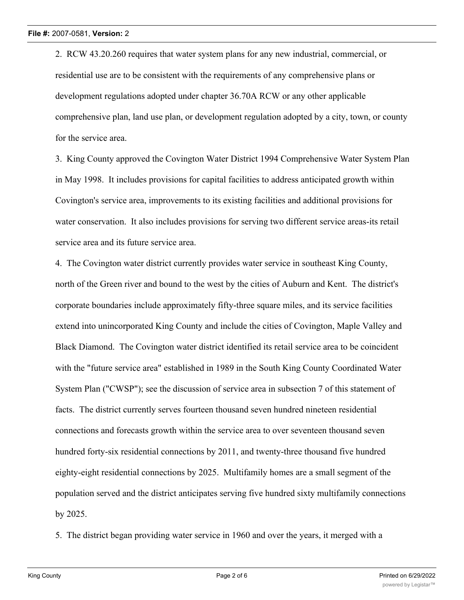2. RCW 43.20.260 requires that water system plans for any new industrial, commercial, or residential use are to be consistent with the requirements of any comprehensive plans or development regulations adopted under chapter 36.70A RCW or any other applicable comprehensive plan, land use plan, or development regulation adopted by a city, town, or county for the service area.

3. King County approved the Covington Water District 1994 Comprehensive Water System Plan in May 1998. It includes provisions for capital facilities to address anticipated growth within Covington's service area, improvements to its existing facilities and additional provisions for water conservation. It also includes provisions for serving two different service areas-its retail service area and its future service area.

4. The Covington water district currently provides water service in southeast King County, north of the Green river and bound to the west by the cities of Auburn and Kent. The district's corporate boundaries include approximately fifty-three square miles, and its service facilities extend into unincorporated King County and include the cities of Covington, Maple Valley and Black Diamond. The Covington water district identified its retail service area to be coincident with the "future service area" established in 1989 in the South King County Coordinated Water System Plan ("CWSP"); see the discussion of service area in subsection 7 of this statement of facts. The district currently serves fourteen thousand seven hundred nineteen residential connections and forecasts growth within the service area to over seventeen thousand seven hundred forty-six residential connections by 2011, and twenty-three thousand five hundred eighty-eight residential connections by 2025. Multifamily homes are a small segment of the population served and the district anticipates serving five hundred sixty multifamily connections by 2025.

5. The district began providing water service in 1960 and over the years, it merged with a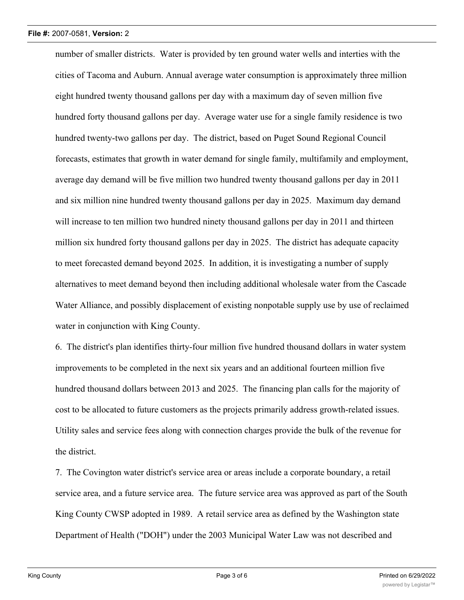number of smaller districts. Water is provided by ten ground water wells and interties with the cities of Tacoma and Auburn. Annual average water consumption is approximately three million eight hundred twenty thousand gallons per day with a maximum day of seven million five hundred forty thousand gallons per day. Average water use for a single family residence is two hundred twenty-two gallons per day. The district, based on Puget Sound Regional Council forecasts, estimates that growth in water demand for single family, multifamily and employment, average day demand will be five million two hundred twenty thousand gallons per day in 2011 and six million nine hundred twenty thousand gallons per day in 2025. Maximum day demand will increase to ten million two hundred ninety thousand gallons per day in 2011 and thirteen million six hundred forty thousand gallons per day in 2025. The district has adequate capacity to meet forecasted demand beyond 2025. In addition, it is investigating a number of supply alternatives to meet demand beyond then including additional wholesale water from the Cascade Water Alliance, and possibly displacement of existing nonpotable supply use by use of reclaimed water in conjunction with King County.

6. The district's plan identifies thirty-four million five hundred thousand dollars in water system improvements to be completed in the next six years and an additional fourteen million five hundred thousand dollars between 2013 and 2025. The financing plan calls for the majority of cost to be allocated to future customers as the projects primarily address growth-related issues. Utility sales and service fees along with connection charges provide the bulk of the revenue for the district.

7. The Covington water district's service area or areas include a corporate boundary, a retail service area, and a future service area. The future service area was approved as part of the South King County CWSP adopted in 1989. A retail service area as defined by the Washington state Department of Health ("DOH") under the 2003 Municipal Water Law was not described and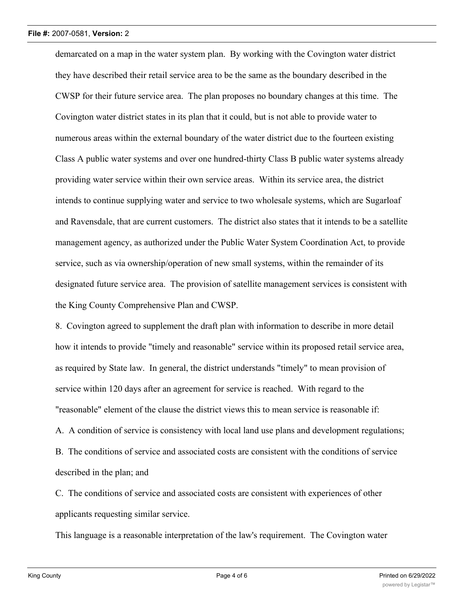demarcated on a map in the water system plan. By working with the Covington water district they have described their retail service area to be the same as the boundary described in the CWSP for their future service area. The plan proposes no boundary changes at this time. The Covington water district states in its plan that it could, but is not able to provide water to numerous areas within the external boundary of the water district due to the fourteen existing Class A public water systems and over one hundred-thirty Class B public water systems already providing water service within their own service areas. Within its service area, the district intends to continue supplying water and service to two wholesale systems, which are Sugarloaf and Ravensdale, that are current customers. The district also states that it intends to be a satellite management agency, as authorized under the Public Water System Coordination Act, to provide service, such as via ownership/operation of new small systems, within the remainder of its designated future service area. The provision of satellite management services is consistent with the King County Comprehensive Plan and CWSP.

8. Covington agreed to supplement the draft plan with information to describe in more detail how it intends to provide "timely and reasonable" service within its proposed retail service area, as required by State law. In general, the district understands "timely" to mean provision of service within 120 days after an agreement for service is reached. With regard to the "reasonable" element of the clause the district views this to mean service is reasonable if: A. A condition of service is consistency with local land use plans and development regulations; B. The conditions of service and associated costs are consistent with the conditions of service described in the plan; and

C. The conditions of service and associated costs are consistent with experiences of other applicants requesting similar service.

This language is a reasonable interpretation of the law's requirement. The Covington water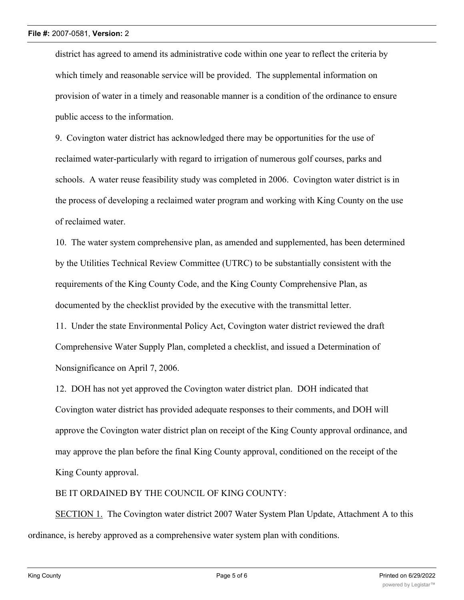district has agreed to amend its administrative code within one year to reflect the criteria by which timely and reasonable service will be provided. The supplemental information on provision of water in a timely and reasonable manner is a condition of the ordinance to ensure public access to the information.

9. Covington water district has acknowledged there may be opportunities for the use of reclaimed water-particularly with regard to irrigation of numerous golf courses, parks and schools. A water reuse feasibility study was completed in 2006. Covington water district is in the process of developing a reclaimed water program and working with King County on the use of reclaimed water.

10. The water system comprehensive plan, as amended and supplemented, has been determined by the Utilities Technical Review Committee (UTRC) to be substantially consistent with the requirements of the King County Code, and the King County Comprehensive Plan, as documented by the checklist provided by the executive with the transmittal letter.

11. Under the state Environmental Policy Act, Covington water district reviewed the draft Comprehensive Water Supply Plan, completed a checklist, and issued a Determination of Nonsignificance on April 7, 2006.

12. DOH has not yet approved the Covington water district plan. DOH indicated that Covington water district has provided adequate responses to their comments, and DOH will approve the Covington water district plan on receipt of the King County approval ordinance, and may approve the plan before the final King County approval, conditioned on the receipt of the King County approval.

BE IT ORDAINED BY THE COUNCIL OF KING COUNTY:

SECTION 1. The Covington water district 2007 Water System Plan Update, Attachment A to this ordinance, is hereby approved as a comprehensive water system plan with conditions.